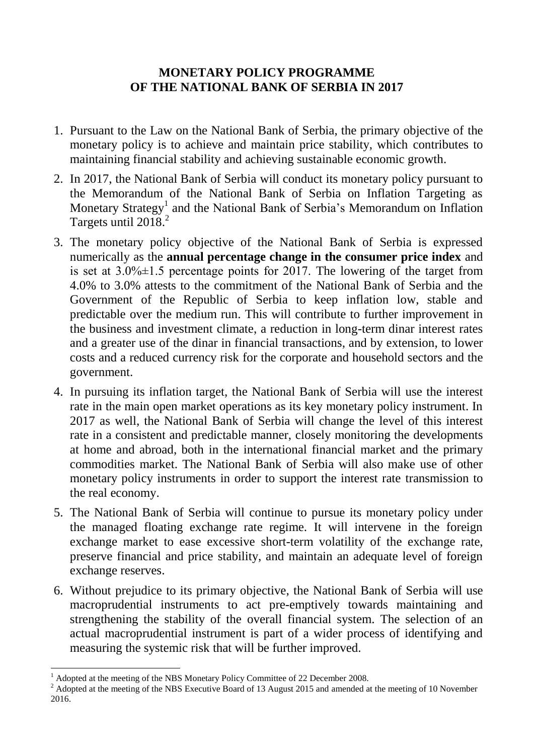## **MONETARY POLICY PROGRAMME OF THE NATIONAL BANK OF SERBIA IN 2017**

- 1. Pursuant to the Law on the National Bank of Serbia, the primary objective of the monetary policy is to achieve and maintain price stability, which contributes to maintaining financial stability and achieving sustainable economic growth.
- 2. In 2017, the National Bank of Serbia will conduct its monetary policy pursuant to the Memorandum of the National Bank of Serbia on Inflation Targeting as Monetary Strategy<sup>1</sup> and the National Bank of Serbia's Memorandum on Inflation Targets until 2018<sup>2</sup>
- 3. The monetary policy objective of the National Bank of Serbia is expressed numerically as the **annual percentage change in the consumer price index** and is set at  $3.0\% \pm 1.5$  percentage points for 2017. The lowering of the target from 4.0% to 3.0% attests to the commitment of the National Bank of Serbia and the Government of the Republic of Serbia to keep inflation low, stable and predictable over the medium run. This will contribute to further improvement in the business and investment climate, a reduction in long-term dinar interest rates and a greater use of the dinar in financial transactions, and by extension, to lower costs and a reduced currency risk for the corporate and household sectors and the government.
- 4. In pursuing its inflation target, the National Bank of Serbia will use the interest rate in the main open market operations as its key monetary policy instrument. In 2017 as well, the National Bank of Serbia will change the level of this interest rate in a consistent and predictable manner, closely monitoring the developments at home and abroad, both in the international financial market and the primary commodities market. The National Bank of Serbia will also make use of other monetary policy instruments in order to support the interest rate transmission to the real economy.
- 5. The National Bank of Serbia will continue to pursue its monetary policy under the managed floating exchange rate regime. It will intervene in the foreign exchange market to ease excessive short-term volatility of the exchange rate, preserve financial and price stability, and maintain an adequate level of foreign exchange reserves.
- 6. Without prejudice to its primary objective, the National Bank of Serbia will use macroprudential instruments to act pre-emptively towards maintaining and strengthening the stability of the overall financial system. The selection of an actual macroprudential instrument is part of a wider process of identifying and measuring the systemic risk that will be further improved.

1

<sup>1</sup> Adopted at the meeting of the NBS Monetary Policy Committee of 22 December 2008.

<sup>&</sup>lt;sup>2</sup> Adopted at the meeting of the NBS Executive Board of 13 August 2015 and amended at the meeting of 10 November 2016.